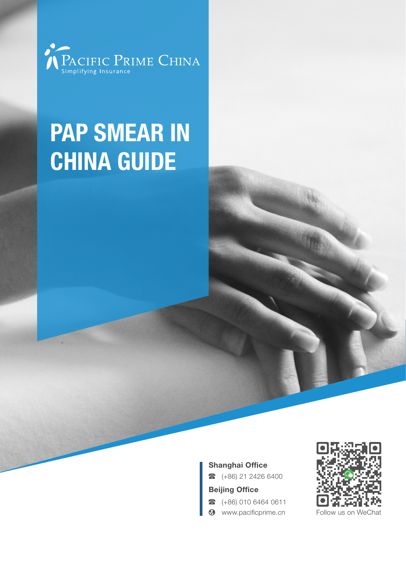

# PAP SMEAR IN China Guide

#### Shanghai Office

 $\bullet$  (+86) 21 2426 6400

#### Beijing Office

- $\bullet$  (+86) 010 6464 0611
- **3** www.pacificprime.cn Follow us on

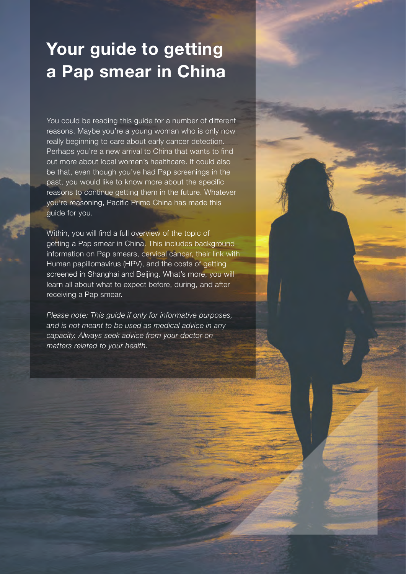# Your guide to getting a Pap smear in China

You could be reading this guide for a number of different reasons. Maybe you're a young woman who is only now really beginning to care about early cancer detection. Perhaps you're a new arrival to China that wants to find out more about local women's healthcare. It could also be that, even though you've had Pap screenings in the past, you would like to know more about the specific reasons to continue getting them in the future. Whatever you're reasoning, Pacific Prime China has made this guide for you.

Within, you will find a full overview of the topic of getting a Pap smear in China. This includes background information on Pap smears, cervical cancer, their link with Human papillomavirus (HPV), and the costs of getting screened in Shanghai and Beijing. What's more, you will learn all about what to expect before, during, and after receiving a Pap smear.

*Please note: This guide if only for informative purposes, and is not meant to be used as medical advice in any capacity. Always seek advice from your doctor on matters related to your health.*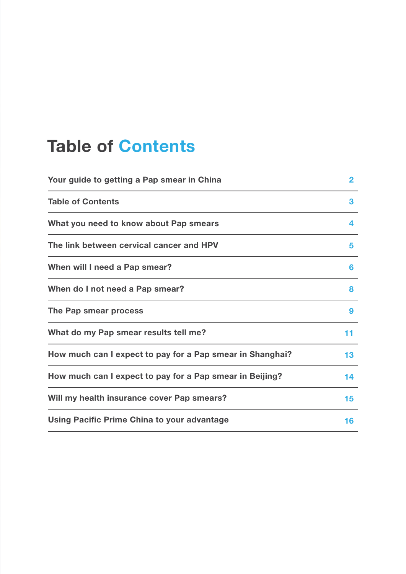### Table of Contents

| Your guide to getting a Pap smear in China                | $\overline{2}$ |
|-----------------------------------------------------------|----------------|
| <b>Table of Contents</b>                                  | 3              |
| What you need to know about Pap smears                    | 4              |
| The link between cervical cancer and HPV                  | 5              |
| When will I need a Pap smear?                             | 6              |
| When do I not need a Pap smear?                           | 8              |
| The Pap smear process                                     | 9              |
| What do my Pap smear results tell me?                     | 11             |
| How much can I expect to pay for a Pap smear in Shanghai? | 13             |
| How much can I expect to pay for a Pap smear in Beijing?  | 14             |
| Will my health insurance cover Pap smears?                | 15             |
| Using Pacific Prime China to your advantage               | 16             |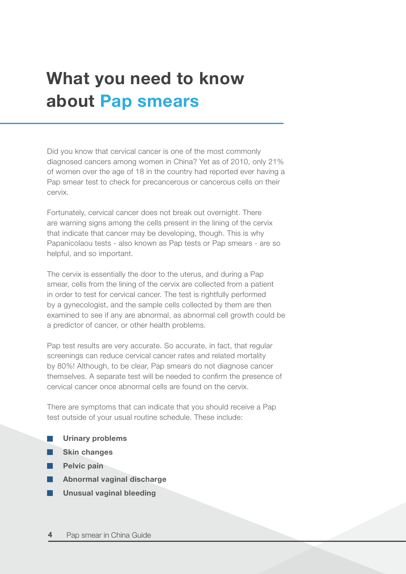# What you need to know about Pap smears

Did you know that cervical cancer is one of the most commonly diagnosed cancers among women in China? Yet as of 2010, only 21% of women over the age of 18 in the country had reported ever having a Pap smear test to check for precancerous or cancerous cells on their cervix.

Fortunately, cervical cancer does not break out overnight. There are warning signs among the cells present in the lining of the cervix that indicate that cancer may be developing, though. This is why Papanicolaou tests - also known as Pap tests or Pap smears - are so helpful, and so important.

The cervix is essentially the door to the uterus, and during a Pap smear, cells from the lining of the cervix are collected from a patient in order to test for cervical cancer. The test is rightfully performed by a gynecologist, and the sample cells collected by them are then examined to see if any are abnormal, as abnormal cell growth could be a predictor of cancer, or other health problems.

Pap test results are very accurate. So accurate, in fact, that regular screenings can reduce cervical cancer rates and related mortality by 80%! Although, to be clear, Pap smears do not diagnose cancer themselves. A separate test will be needed to confirm the presence of cervical cancer once abnormal cells are found on the cervix.

There are symptoms that can indicate that you should receive a Pap test outside of your usual routine schedule. These include:

|  | <b>Urinary problems</b> |
|--|-------------------------|
|--|-------------------------|

- Skin changes
- Pelvic pain

l a l

- Abnormal vaginal discharge
- Unusual vaginal bleeding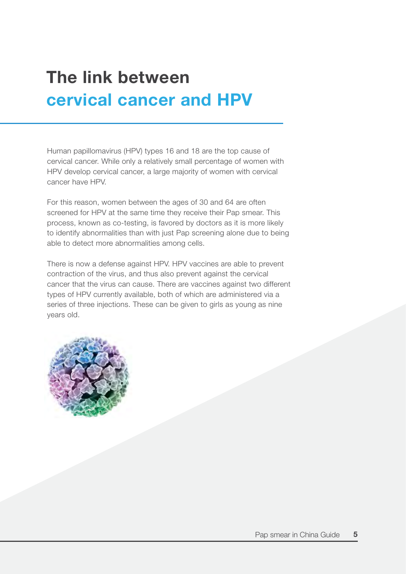# The link between cervical cancer and HPV

Human papillomavirus (HPV) types 16 and 18 are the top cause of cervical cancer. While only a relatively small percentage of women with HPV develop cervical cancer, a large majority of women with cervical cancer have HPV.

For this reason, women between the ages of 30 and 64 are often screened for HPV at the same time they receive their Pap smear. This process, known as co-testing, is favored by doctors as it is more likely to identify abnormalities than with just Pap screening alone due to being able to detect more abnormalities among cells.

There is now a defense against HPV. HPV vaccines are able to prevent contraction of the virus, and thus also prevent against the cervical cancer that the virus can cause. There are vaccines against two different types of HPV currently available, both of which are administered via a series of three injections. These can be given to girls as young as nine years old.

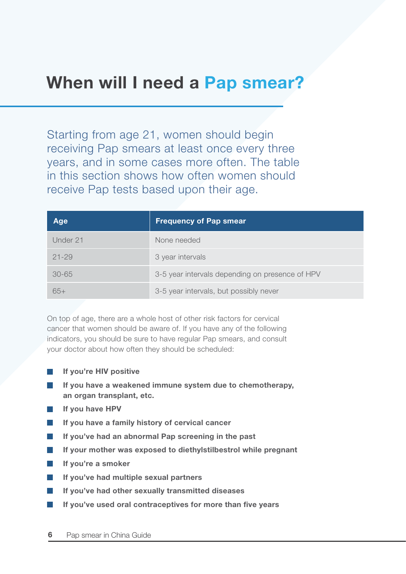### When will I need a Pap smear?

Starting from age 21, women should begin receiving Pap smears at least once every three years, and in some cases more often. The table in this section shows how often women should receive Pap tests based upon their age.

| Age       | <b>Frequency of Pap smear</b>                   |
|-----------|-------------------------------------------------|
| Under 21  | None needed                                     |
| $21 - 29$ | 3 year intervals                                |
| $30 - 65$ | 3-5 year intervals depending on presence of HPV |
| $65+$     | 3-5 year intervals, but possibly never          |

On top of age, there are a whole host of other risk factors for cervical cancer that women should be aware of. If you have any of the following indicators, you should be sure to have regular Pap smears, and consult your doctor about how often they should be scheduled:

- If you're HIV positive
- If you have a weakened immune system due to chemotherapy,  $\mathcal{L}_{\mathcal{A}}$ an organ transplant, etc.
- If you have HPV
- If you have a family history of cervical cancer
- If you've had an abnormal Pap screening in the past  $\overline{\mathbb{R}^n}$
- **Tale** If your mother was exposed to diethylstilbestrol while pregnant
- If you're a smoker  $\mathcal{L}^{\text{max}}$
- If you've had multiple sexual partners  $\mathbb{R}^n$
- If you've had other sexually transmitted diseases l a l
- If you've used oral contraceptives for more than five years  $\mathbb{R}^n$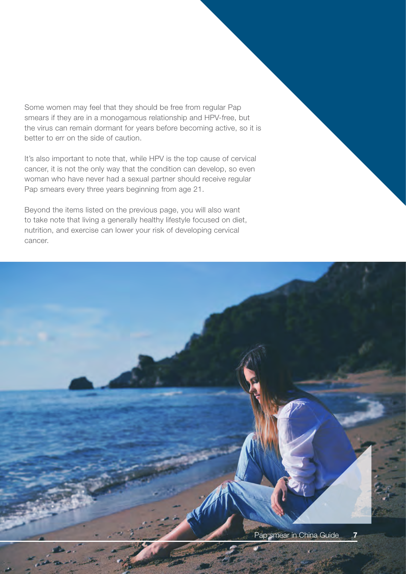Some women may feel that they should be free from regular Pap smears if they are in a monogamous relationship and HPV-free, but the virus can remain dormant for years before becoming active, so it is better to err on the side of caution.

It's also important to note that, while HPV is the top cause of cervical cancer, it is not the only way that the condition can develop, so even woman who have never had a sexual partner should receive regular Pap smears every three years beginning from age 21.

Beyond the items listed on the previous page, you will also want to take note that living a generally healthy lifestyle focused on diet, nutrition, and exercise can lower your risk of developing cervical cancer.

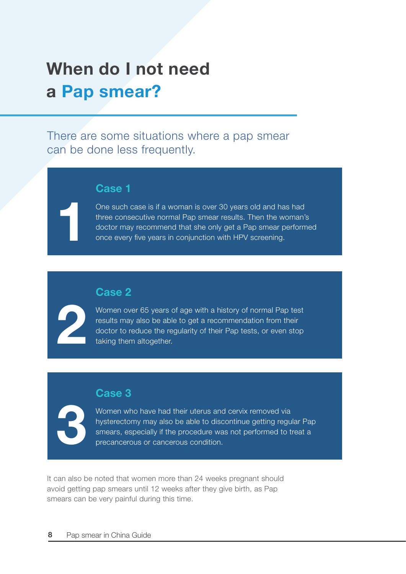# When do I not need a Pap smear?

There are some situations where a pap smear can be done less frequently.

#### Case 1

One such case is if a woman is over 30 years old and has had three consecutive normal Pap smear results. Then the woman's doctor may recommend that she only get a Pap smear performed once every five years in conjunction with HPV screening.

#### Case 2

Women over 65 years of age with a history of normal Pap test results may also be able to get a recommendation from their doctor to reduce the regularity of their Pap tests, or even stop taking them altogether.

#### Case 3



2

1

Women who have had their uterus and cervix removed via hysterectomy may also be able to discontinue getting regular Pap smears, especially if the procedure was not performed to treat a precancerous or cancerous condition.

It can also be noted that women more than 24 weeks pregnant should avoid getting pap smears until 12 weeks after they give birth, as Pap smears can be very painful during this time.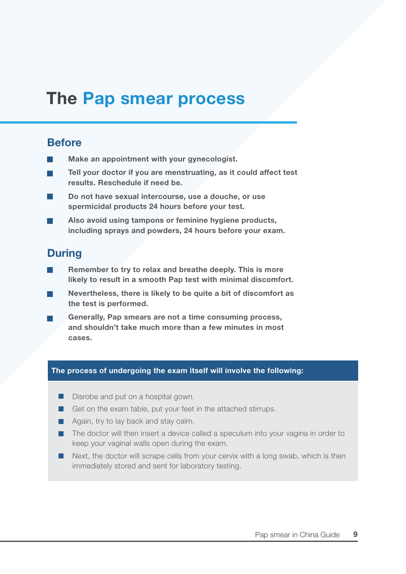### The Pap smear process

#### **Before**

- Make an appointment with your gynecologist.
- Tell your doctor if you are menstruating, as it could affect test m. results. Reschedule if need be.
- Do not have sexual intercourse, use a douche, or use spermicidal products 24 hours before your test.
- Also avoid using tampons or feminine hygiene products, including sprays and powders, 24 hours before your exam.

#### **During**

- Remember to try to relax and breathe deeply. This is more likely to result in a smooth Pap test with minimal discomfort.
- Nevertheless, there is likely to be quite a bit of discomfort as the test is performed.
- Generally, Pap smears are not a time consuming process, and shouldn't take much more than a few minutes in most cases.

#### The process of undergoing the exam itself will involve the following:

- Disrobe and put on a hospital gown.
- Get on the exam table, put your feet in the attached stirrups.
- $\blacksquare$  Again, try to lay back and stay calm.
- $\blacksquare$  The doctor will then insert a device called a speculum into your vagina in order to keep your vaginal walls open during the exam.
- $\blacksquare$  Next, the doctor will scrape cells from your cervix with a long swab, which is then immediately stored and sent for laboratory testing.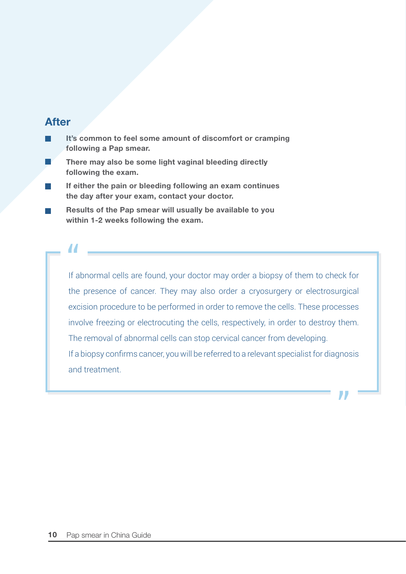#### After

- It's common to feel some amount of discomfort or cramping following a Pap smear.
- There may also be some light vaginal bleeding directly following the exam.
- If either the pain or bleeding following an exam continues the day after your exam, contact your doctor.
- Results of the Pap smear will usually be available to you within 1-2 weeks following the exam.

If abnormal cells are found, your doctor may order a biopsy of them to check for " the presence of cancer. They may also order a cryosurgery or electrosurgical excision procedure to be performed in order to remove the cells. These processes involve freezing or electrocuting the cells, respectively, in order to destroy them. The removal of abnormal cells can stop cervical cancer from developing. If a biopsy confirms cancer, you will be referred to a relevant specialist for diagnosis and treatment.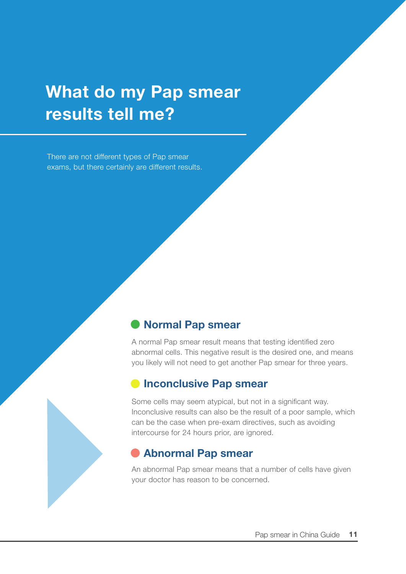# What do my Pap smear results tell me?

There are not different types of Pap smear exams, but there certainly are different results.

#### Normal Pap smear

A normal Pap smear result means that testing identified zero abnormal cells. This negative result is the desired one, and means you likely will not need to get another Pap smear for three years.

#### **Inconclusive Pap smear**

Some cells may seem atypical, but not in a significant way. Inconclusive results can also be the result of a poor sample, which can be the case when pre-exam directives, such as avoiding intercourse for 24 hours prior, are ignored.

#### Abnormal Pap smear

An abnormal Pap smear means that a number of cells have given your doctor has reason to be concerned.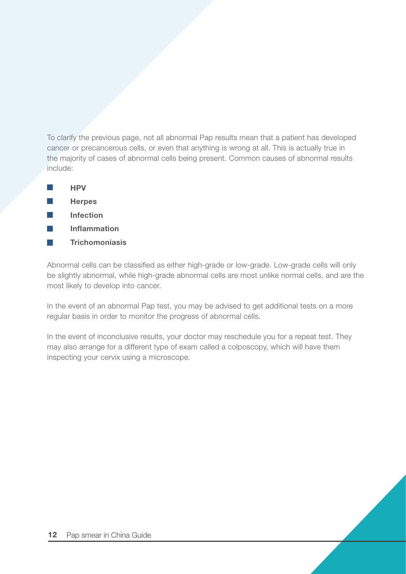To clarify the previous page, not all abnormal Pap results mean that a patient has developed cancer or precancerous cells, or even that anything is wrong at all. This is actually true in the majority of cases of abnormal cells being present. Common causes of abnormal results include:

|  | н | J<br>н<br>- |  |
|--|---|-------------|--|
|  |   |             |  |

- **Herpes**  $\sim$
- Infection  $\mathbb{R}^n$
- Inflammation  $\mathcal{A}$
- **Trichomoniasis**  $\mathcal{L}_{\mathcal{A}}$

Abnormal cells can be classified as either high-grade or low-grade. Low-grade cells will only be slightly abnormal, while high-grade abnormal cells are most unlike normal cells, and are the most likely to develop into cancer.

In the event of an abnormal Pap test, you may be advised to get additional tests on a more regular basis in order to monitor the progress of abnormal cells.

In the event of inconclusive results, your doctor may reschedule you for a repeat test. They may also arrange for a different type of exam called a colposcopy, which will have them inspecting your cervix using a microscope.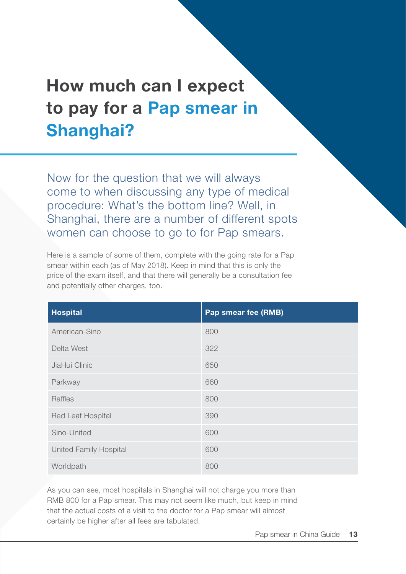# How much can I expect to pay for a Pap smear in Shanghai?

Now for the question that we will always come to when discussing any type of medical procedure: What's the bottom line? Well, in Shanghai, there are a number of different spots women can choose to go to for Pap smears.

Here is a sample of some of them, complete with the going rate for a Pap smear within each (as of May 2018). Keep in mind that this is only the price of the exam itself, and that there will generally be a consultation fee and potentially other charges, too.

| <b>Hospital</b>               | Pap smear fee (RMB) |
|-------------------------------|---------------------|
| American-Sino                 | 800                 |
| Delta West                    | 322                 |
| JiaHui Clinic                 | 650                 |
| Parkway                       | 660                 |
| Raffles                       | 800                 |
| Red Leaf Hospital             | 390                 |
| Sino-United                   | 600                 |
| <b>United Family Hospital</b> | 600                 |
| Worldpath                     | 800                 |

As you can see, most hospitals in Shanghai will not charge you more than RMB 800 for a Pap smear. This may not seem like much, but keep in mind that the actual costs of a visit to the doctor for a Pap smear will almost certainly be higher after all fees are tabulated.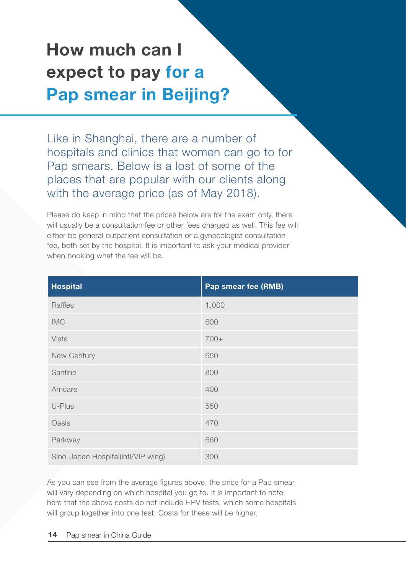# How much can I expect to pay for a Pap smear in Beijing?

Like in Shanghai, there are a number of hospitals and clinics that women can go to for Pap smears. Below is a lost of some of the places that are popular with our clients along with the average price (as of May 2018).

Please do keep in mind that the prices below are for the exam only, there will usually be a consultation fee or other fees charged as well. This fee will either be general outpatient consultation or a gynecologist consultation fee, both set by the hospital. It is important to ask your medical provider when booking what the fee will be.

| <b>Hospital</b>                    | Pap smear fee (RMB) |
|------------------------------------|---------------------|
| Raffles                            | 1,000               |
| <b>IMC</b>                         | 600                 |
| Vista                              | 700+                |
| New Century                        | 650                 |
| Sanfine                            | 800                 |
| Amcare                             | 400                 |
| U-Plus                             | 550                 |
| Oasis                              | 470                 |
| Parkway                            | 660                 |
| Sino-Japan Hospital(intl/VIP wing) | 300                 |

As you can see from the average figures above, the price for a Pap smear will vary depending on which hospital you go to. It is important to note here that the above costs do not include HPV tests, which some hospitals will group together into one test. Costs for these will be higher.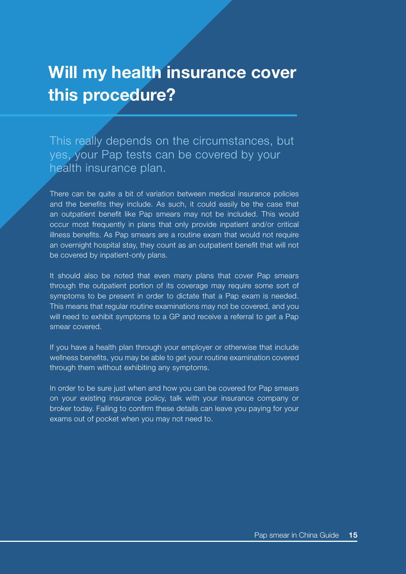### Will my health insurance cover this procedure?

This really depends on the circumstances, but yes, your Pap tests can be covered by your health insurance plan.

There can be quite a bit of variation between medical insurance policies and the benefits they include. As such, it could easily be the case that an outpatient benefit like Pap smears may not be included. This would occur most frequently in plans that only provide inpatient and/or critical illness benefits. As Pap smears are a routine exam that would not require an overnight hospital stay, they count as an outpatient benefit that will not be covered by inpatient-only plans.

It should also be noted that even many plans that cover Pap smears through the outpatient portion of its coverage may require some sort of symptoms to be present in order to dictate that a Pap exam is needed. This means that regular routine examinations may not be covered, and you will need to exhibit symptoms to a GP and receive a referral to get a Pap smear covered.

If you have a health plan through your employer or otherwise that include wellness benefits, you may be able to get your routine examination covered through them without exhibiting any symptoms.

In order to be sure just when and how you can be covered for Pap smears on your existing insurance policy, talk with your insurance company or broker today. Failing to confirm these details can leave you paying for your exams out of pocket when you may not need to.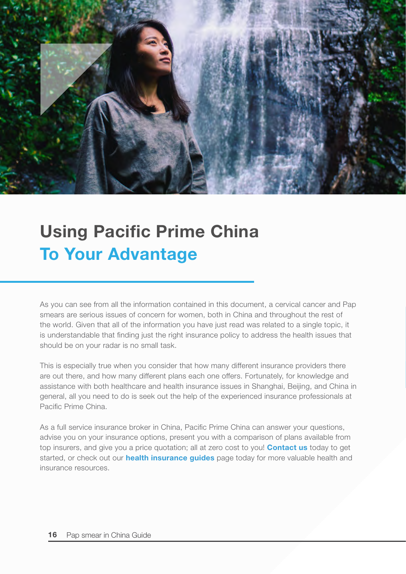

# Using Pacific Prime China To Your Advantage

As you can see from all the information contained in this document, a cervical cancer and Pap smears are serious issues of concern for women, both in China and throughout the rest of the world. Given that all of the information you have just read was related to a single topic, it is understandable that finding just the right insurance policy to address the health issues that should be on your radar is no small task.

This is especially true when you consider that how many different insurance providers there are out there, and how many different plans each one offers. Fortunately, for knowledge and assistance with both healthcare and health insurance issues in Shanghai, Beijing, and China in general, all you need to do is seek out the help of the experienced insurance professionals at Pacific Prime China.

As a full service insurance broker in China, Pacific Prime China can answer your questions, advise you on your insurance options, present you with a comparison of plans available from top insurers, and give you a price quotation; all at zero cost to you! [Contact us](http://www.pacificprime.cn/en/contact-us) today to get started, or check out our **[health insurance guides](http://pacificprime.cn/en/resources/)** page today for more valuable health and insurance resources.